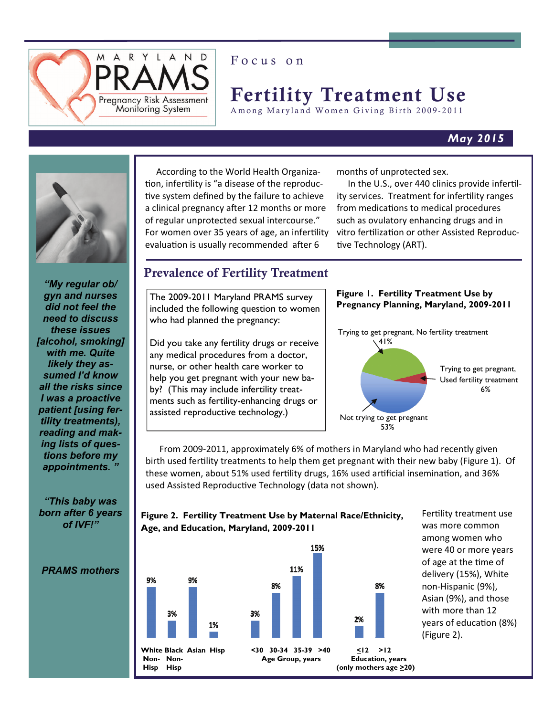

# Focus on

# Fertility Treatment Use

Among Maryland Women Giving Birth 2009-2011

# *May 2015*



*"My regular ob/ gyn and nurses did not feel the need to discuss these issues [alcohol, smoking] with me. Quite likely they assumed I'd know all the risks since I was a proactive patient [using fertility treatments), reading and making lists of questions before my appointments. "* 

*"This baby was born after 6 years of IVF!"* 

 According to the World Health Organiza‐ tion, infertility is "a disease of the reproductive system defined by the failure to achieve a clinical pregnancy after 12 months or more of regular unprotected sexual intercourse." For women over 35 years of age, an infertility evaluation is usually recommended after 6

months of unprotected sex.

In the U.S., over 440 clinics provide infertility services. Treatment for infertility ranges from medications to medical procedures such as ovulatory enhancing drugs and in vitro fertilization or other Assisted Reproductive Technology (ART).

# Prevalence of Fertility Treatment

The 2009-2011 Maryland PRAMS survey included the following question to women who had planned the pregnancy:

Did you take any fertility drugs or receive any medical procedures from a doctor, nurse, or other health care worker to help you get pregnant with your new baby? (This may include infertility treatments such as fertility-enhancing drugs or assisted reproductive technology.)



From 2009-2011, approximately 6% of mothers in Maryland who had recently given birth used fertility treatments to help them get pregnant with their new baby (Figure 1). Of these women, about 51% used fertility drugs, 16% used artificial insemination, and 36% used Assisted Reproductive Technology (data not shown).



**Figure 2. Fertility Treatment Use by Maternal Race/Ethnicity, Age, and Education, Maryland, 2009-2011** 

Fertility treatment use was more common among women who were 40 or more years of age at the time of delivery (15%), White non‐Hispanic (9%), Asian (9%), and those with more than 12 years of education (8%) (Figure 2).

*PRAMS mothers*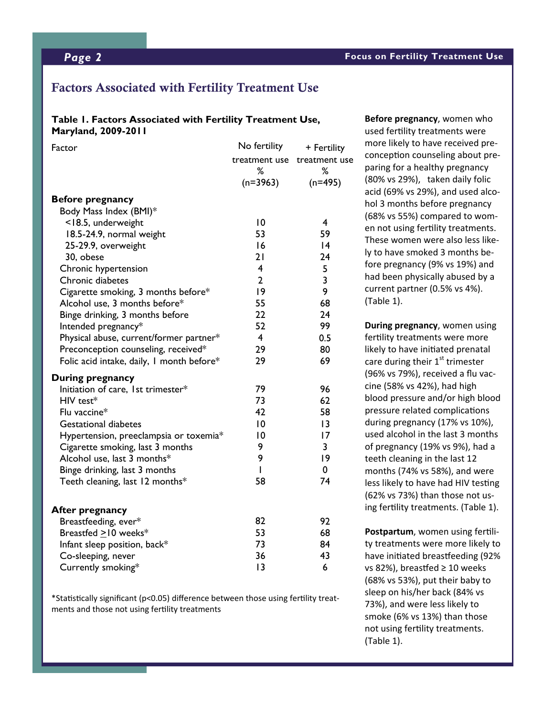# Factors Associated with Fertility Treatment Use

#### **Table 1. Factors Associated with Fertility Treatment Use, Maryland, 2009-2011**

| treatment use<br>treatment use                                   |  |
|------------------------------------------------------------------|--|
| ℅<br>℅                                                           |  |
| $(n=3963)$<br>$(n=495)$                                          |  |
| <b>Before pregnancy</b>                                          |  |
| Body Mass Index (BMI)*                                           |  |
| 10<br><18.5, underweight<br>$\overline{4}$                       |  |
| 53<br>59<br>18.5-24.9, normal weight                             |  |
| 16<br>25-29.9, overweight<br> 4                                  |  |
| 24<br>30, obese<br>21                                            |  |
| $\overline{\mathbf{4}}$<br>Chronic hypertension<br>5             |  |
| $\overline{\mathbf{3}}$<br>$\overline{2}$<br>Chronic diabetes    |  |
| 9<br> 9<br>Cigarette smoking, 3 months before*                   |  |
| Alcohol use, 3 months before*<br>55<br>68                        |  |
| 22<br>24<br>Binge drinking, 3 months before                      |  |
| 99<br>52<br>Intended pregnancy*                                  |  |
| $\overline{4}$<br>0.5<br>Physical abuse, current/former partner* |  |
| 29<br>80<br>Preconception counseling, received*                  |  |
| 29<br>69<br>Folic acid intake, daily, I month before*            |  |
| During pregnancy                                                 |  |
| 79<br>96<br>Initiation of care, 1st trimester*                   |  |
| 73<br>62<br>HIV test*                                            |  |
| 42<br>58<br>Flu vaccine*                                         |  |
| 10<br>13<br><b>Gestational diabetes</b>                          |  |
| 10<br>17<br>Hypertension, preeclampsia or toxemia*               |  |
| 9<br>3<br>Cigarette smoking, last 3 months                       |  |
| 9<br> 9<br>Alcohol use, last 3 months*                           |  |
| 0<br>$\mathsf{I}$<br>Binge drinking, last 3 months               |  |
| 58<br>Teeth cleaning, last 12 months*<br>74                      |  |
|                                                                  |  |
| <b>After pregnancy</b><br>82<br>92<br>Breastfeeding, ever*       |  |
| 53<br>68<br>Breastfed $\geq$ 10 weeks*                           |  |
| 73<br>84<br>Infant sleep position, back*                         |  |
| 36<br>43<br>Co-sleeping, never                                   |  |
| 13<br>6<br>Currently smoking*                                    |  |

\*Statistically significant (p<0.05) difference between those using fertility treatments and those not using fertility treatments

**Before pregnancy**, women who used fertility treatments were more likely to have received pre‐ conception counseling about preparing for a healthy pregnancy (80% vs 29%), taken daily folic acid (69% vs 29%), and used alco‐ hol 3 months before pregnancy (68% vs 55%) compared to wom‐ en not using fertility treatments. These women were also less like‐ ly to have smoked 3 months be‐ fore pregnancy (9% vs 19%) and had been physically abused by a current partner (0.5% vs 4%). (Table 1).

**During pregnancy**, women using fertility treatments were more likely to have initiated prenatal care during their  $1<sup>st</sup>$  trimester (96% vs 79%), received a flu vac‐ cine (58% vs 42%), had high blood pressure and/or high blood pressure related complications during pregnancy (17% vs 10%), used alcohol in the last 3 months of pregnancy (19% vs 9%), had a teeth cleaning in the last 12 months (74% vs 58%), and were less likely to have had HIV testing (62% vs 73%) than those not us‐ ing fertility treatments. (Table 1).

Postpartum, women using fertility treatments were more likely to have initiated breastfeeding (92% vs 82%), breastfed  $\geq 10$  weeks (68% vs 53%), put their baby to sleep on his/her back (84% vs 73%), and were less likely to smoke (6% vs 13%) than those not using fertility treatments. (Table 1).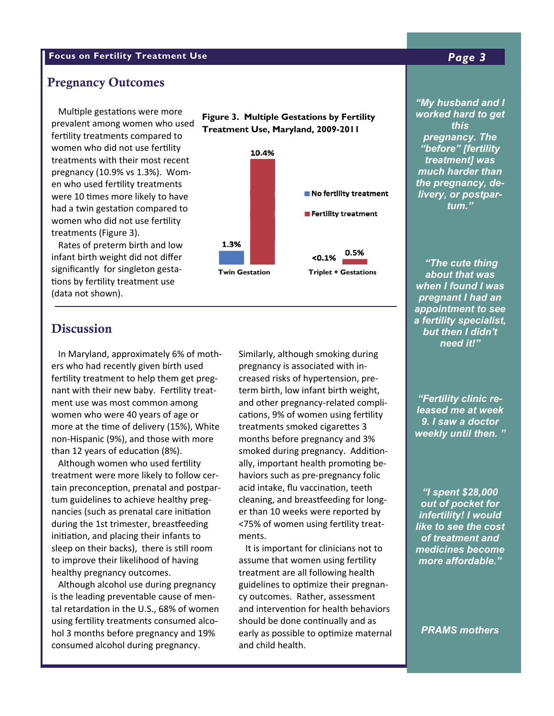# **Focus on Fertility Treatment Use** *Page 3*

#### Pregnancy Outcomes

Multiple gestations were more prevalent among women who used fertility treatments compared to women who did not use fertility treatments with their most recent pregnancy (10.9% vs 1.3%). Wom‐ en who used fertility treatments were 10 times more likely to have had a twin gestation compared to women who did not use fertility treatments (Figure 3).

 Rates of preterm birth and low infant birth weight did not differ significantly for singleton gesta‐ tions by fertility treatment use (data not shown).





# **Discussion**

 In Maryland, approximately 6% of moth‐ ers who had recently given birth used fertility treatment to help them get pregnant with their new baby. Fertility treatment use was most common among women who were 40 years of age or more at the time of delivery (15%), White non‐Hispanic (9%), and those with more than 12 years of education (8%).

Although women who used fertility treatment were more likely to follow cer‐ tain preconception, prenatal and postpartum guidelines to achieve healthy preg‐ nancies (such as prenatal care initiation during the 1st trimester, breastfeeding initiation, and placing their infants to sleep on their backs), there is still room to improve their likelihood of having healthy pregnancy outcomes.

 Although alcohol use during pregnancy is the leading preventable cause of men‐ tal retardation in the U.S., 68% of women using fertility treatments consumed alcohol 3 months before pregnancy and 19% consumed alcohol during pregnancy.

Similarly, although smoking during pregnancy is associated with in‐  $\blacksquare$ **Frederick 10.4 (10.4)** 93.4 (10.4) 93.4 (10.4-14.1) 93.4 (10.4-14.1) 93.4 (10.4-14.1) 93.4 (10.4-14.1) 93.4 (10.4-14.1) 93.4 (10.4) 93.4 (10.4) 93.4 (10.4) 93.4 (10.4) 93.4 (10.4) 93.4 (10.4) 93.4 (10.4) 93.4 (10.4) 93.4 Garrent 10.7 ( 8.5-12.8) and other pregnancy-related complications, 9% of women using fertility  $\begin{bmatrix} 1 & 1 & 1 \end{bmatrix}$ treatments smoked cigarettes 3 Kent 13.5 ( 6.4-20.5) 100.0 (100 -100.0) smoked during pregnancy. AddiƟon‐ Montgomery 13.8 ( 7.4-20.2) 90.5 (88.8- 92.1) ally, important health promoƟng be‐ haviors such as pre-pregnancy folic **Fig. 19.5.4.4.4** cleaning, and breastfeeding for long-<br>Cleaning, and breastfeeding for longer than 10 weeks were reported by **the infertility!** <75% of women using fertility treat-<br>and the to see that term birth, low infant birth weight, months before pregnancy and 3% acid intake, flu vaccination, teeth ments.

It is important for clinicians not to **If all medicines** assume that women using fertility **acknowled afform** wicomico 24.9 (1.000-49.9) 95.8 (92.1-1.1- 99.6) 95.9 (92.1-1.1- 99.6) 95.9 (93.1- 99.6) 95.9 (93.1- 99.6) 95. cy outcomes. Rather, assessment  $\overline{a}$ treatment are all following health and intervention for health behaviors should be done continually and as early as possible to optimize maternal and child health.

### **Pregnancy**  *"before" [fertility "My husband and I worked hard to get this pregnancy. The treatment] was the pregnancy, delivery, or postpartum."*

**EXECUTE:** When I found I was **discrete 7.0-15.0-15.5)** pregnant I had an Carroll 7.7 ( 4.4-11.1) 92.2 (88.7- 95.6) *a fertility specialist,*  **but then I didn't but then I didn't** *"The cute thing about that was appointment to see need it!"* 

> *"Fertility clinic released me at week 9. I saw a doctor weekly until then. "*

> *"I spent \$28,000 out of pocket for infertility! I would like to see the cost of treatment and medicines become more affordable."*

*PRAMS mothers*